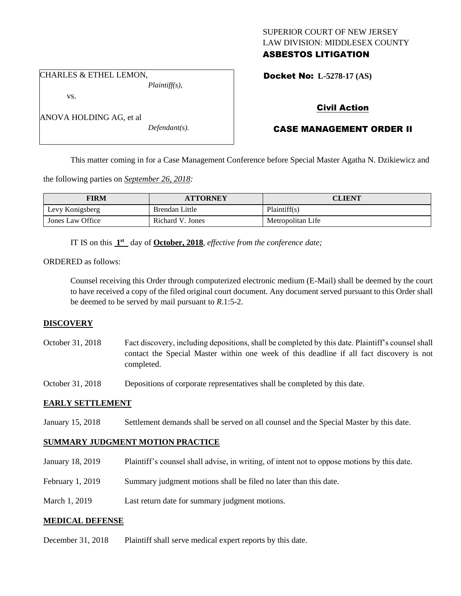## SUPERIOR COURT OF NEW JERSEY LAW DIVISION: MIDDLESEX COUNTY ASBESTOS LITIGATION

CHARLES & ETHEL LEMON, *Plaintiff(s),*

vs.

ANOVA HOLDING AG, et al

*Defendant(s).*

Docket No: **L-5278-17 (AS)** 

# Civil Action

# CASE MANAGEMENT ORDER II

This matter coming in for a Case Management Conference before Special Master Agatha N. Dzikiewicz and

the following parties on *September 26, 2018:*

| <b>FIRM</b>      | <b>ATTORNEY</b>  | <b>CLIENT</b>     |
|------------------|------------------|-------------------|
| Levy Konigsberg  | Brendan Little   | Plaintiff(s)      |
| Jones Law Office | Richard V. Jones | Metropolitan Life |

IT IS on this  $1<sup>st</sup>$  day of **October, 2018**, *effective from the conference date*;

## ORDERED as follows:

Counsel receiving this Order through computerized electronic medium (E-Mail) shall be deemed by the court to have received a copy of the filed original court document. Any document served pursuant to this Order shall be deemed to be served by mail pursuant to *R*.1:5-2.

## **DISCOVERY**

October 31, 2018 Fact discovery, including depositions, shall be completed by this date. Plaintiff's counsel shall contact the Special Master within one week of this deadline if all fact discovery is not completed.

October 31, 2018 Depositions of corporate representatives shall be completed by this date.

## **EARLY SETTLEMENT**

January 15, 2018 Settlement demands shall be served on all counsel and the Special Master by this date.

## **SUMMARY JUDGMENT MOTION PRACTICE**

- January 18, 2019 Plaintiff's counsel shall advise, in writing, of intent not to oppose motions by this date.
- February 1, 2019 Summary judgment motions shall be filed no later than this date.
- March 1, 2019 Last return date for summary judgment motions.

## **MEDICAL DEFENSE**

December 31, 2018 Plaintiff shall serve medical expert reports by this date.